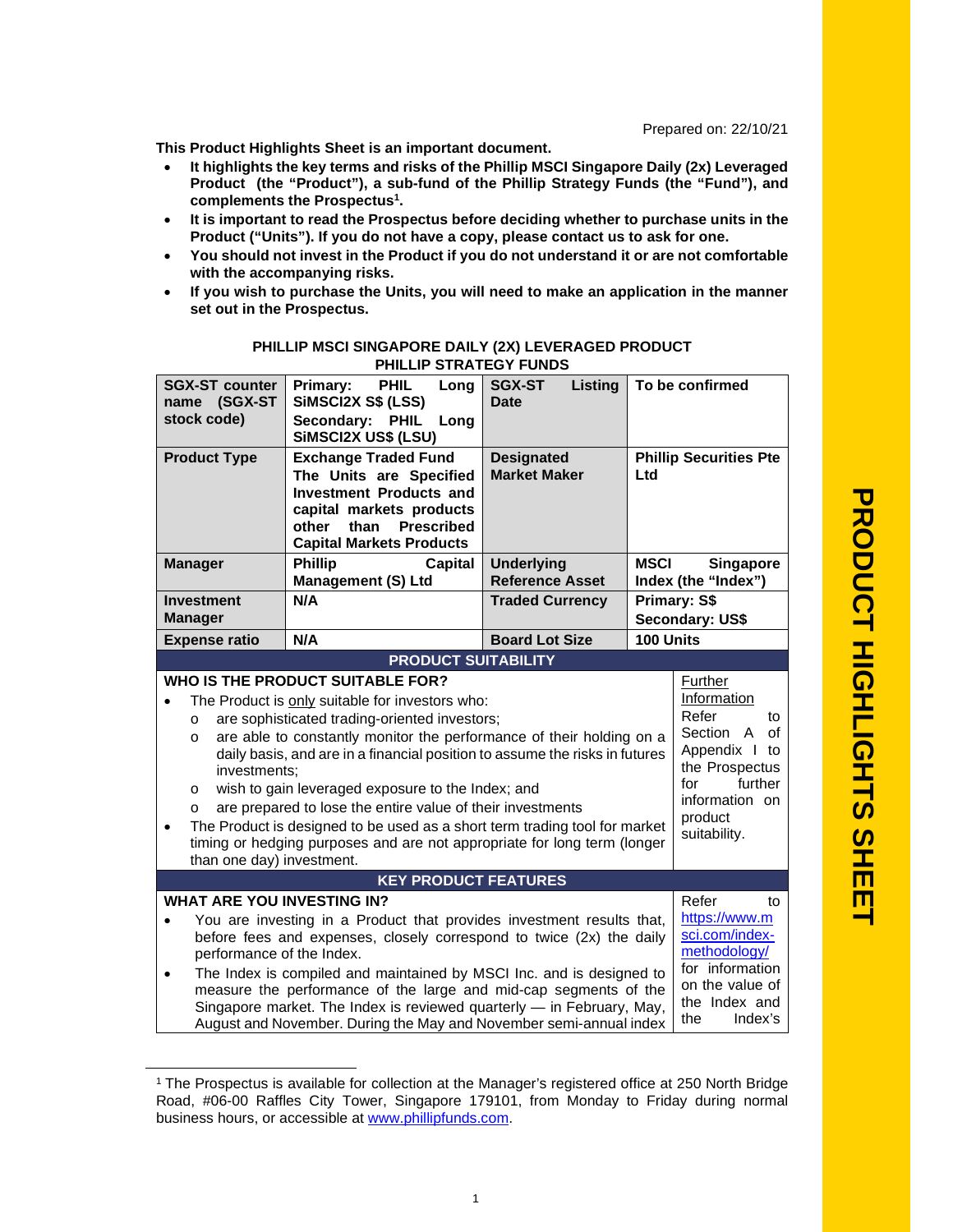**This Product Highlights Sheet is an important document.**

- **It highlights the key terms and risks of the Phillip MSCI Singapore Daily (2x) Leveraged Product (the "Product"), a sub-fund of the Phillip Strategy Funds (the "Fund"), and complements the Prospectus<sup>1</sup> .**
- **It is important to read the Prospectus before deciding whether to purchase units in the Product ("Units"). If you do not have a copy, please contact us to ask for one.**
- **You should not invest in the Product if you do not understand it or are not comfortable with the accompanying risks.**
- **If you wish to purchase the Units, you will need to make an application in the manner set out in the Prospectus.**

| <b>SGX-ST counter</b><br>name (SGX-ST<br>stock code)                                                                                                                                                                                                                                                                                                                                                                                                                                                                                                                                                                                                                                                                                                                                                                                                          | Primary:<br><b>PHIL</b><br>Long<br><b>SIMSCI2X S\$ (LSS)</b><br>Secondary: PHIL<br>Long<br>SiMSCI2X US\$ (LSU)                                                                                | <b>SGX-ST</b><br>Listing<br><b>Date</b>     |             | To be confirmed                         |
|---------------------------------------------------------------------------------------------------------------------------------------------------------------------------------------------------------------------------------------------------------------------------------------------------------------------------------------------------------------------------------------------------------------------------------------------------------------------------------------------------------------------------------------------------------------------------------------------------------------------------------------------------------------------------------------------------------------------------------------------------------------------------------------------------------------------------------------------------------------|-----------------------------------------------------------------------------------------------------------------------------------------------------------------------------------------------|---------------------------------------------|-------------|-----------------------------------------|
| <b>Product Type</b>                                                                                                                                                                                                                                                                                                                                                                                                                                                                                                                                                                                                                                                                                                                                                                                                                                           | <b>Exchange Traded Fund</b><br>The Units are Specified<br><b>Investment Products and</b><br>capital markets products<br>other<br>than<br><b>Prescribed</b><br><b>Capital Markets Products</b> | <b>Designated</b><br><b>Market Maker</b>    | Ltd         | <b>Phillip Securities Pte</b>           |
| <b>Manager</b>                                                                                                                                                                                                                                                                                                                                                                                                                                                                                                                                                                                                                                                                                                                                                                                                                                                | <b>Phillip</b><br>Capital<br><b>Management (S) Ltd</b>                                                                                                                                        | <b>Underlying</b><br><b>Reference Asset</b> | <b>MSCI</b> | <b>Singapore</b><br>Index (the "Index") |
| <b>Investment</b><br><b>Manager</b>                                                                                                                                                                                                                                                                                                                                                                                                                                                                                                                                                                                                                                                                                                                                                                                                                           | N/A                                                                                                                                                                                           | <b>Traded Currency</b>                      |             | Primary: S\$<br>Secondary: US\$         |
| <b>Expense ratio</b>                                                                                                                                                                                                                                                                                                                                                                                                                                                                                                                                                                                                                                                                                                                                                                                                                                          | N/A                                                                                                                                                                                           | <b>Board Lot Size</b>                       | 100 Units   |                                         |
|                                                                                                                                                                                                                                                                                                                                                                                                                                                                                                                                                                                                                                                                                                                                                                                                                                                               | <b>PRODUCT SUITABILITY</b>                                                                                                                                                                    |                                             |             |                                         |
| WHO IS THE PRODUCT SUITABLE FOR?<br>Further<br>Information<br>The Product is only suitable for investors who:<br>Refer<br>to<br>are sophisticated trading-oriented investors;<br>$\circ$<br>$\overline{A}$<br>Section<br>of<br>are able to constantly monitor the performance of their holding on a<br>$\Omega$<br>Appendix I to<br>daily basis, and are in a financial position to assume the risks in futures<br>the Prospectus<br>investments:<br>for<br>further<br>wish to gain leveraged exposure to the Index; and<br>$\circ$<br>information on<br>are prepared to lose the entire value of their investments<br>$\circ$<br>product<br>The Product is designed to be used as a short term trading tool for market<br>$\bullet$<br>suitability.<br>timing or hedging purposes and are not appropriate for long term (longer<br>than one day) investment. |                                                                                                                                                                                               |                                             |             |                                         |
|                                                                                                                                                                                                                                                                                                                                                                                                                                                                                                                                                                                                                                                                                                                                                                                                                                                               | <b>KEY PRODUCT FEATURES</b>                                                                                                                                                                   |                                             |             |                                         |
| <b>WHAT ARE YOU INVESTING IN?</b><br>Refer<br>https://www.m<br>You are investing in a Product that provides investment results that,<br>sci.com/index-<br>before fees and expenses, closely correspond to twice (2x) the daily<br>methodology/<br>performance of the Index.                                                                                                                                                                                                                                                                                                                                                                                                                                                                                                                                                                                   |                                                                                                                                                                                               | to                                          |             |                                         |
| for information<br>The Index is compiled and maintained by MSCI Inc. and is designed to<br>on the value of<br>measure the performance of the large and mid-cap segments of the<br>the Index and<br>Singapore market. The Index is reviewed quarterly - in February, May,<br>Index's<br>the<br>August and November. During the May and November semi-annual index                                                                                                                                                                                                                                                                                                                                                                                                                                                                                              |                                                                                                                                                                                               |                                             |             |                                         |

## **PHILLIP MSCI SINGAPORE DAILY (2X) LEVERAGED PRODUCT PHILLIP STRATEGY FUNDS**

<sup>1</sup> The Prospectus is available for collection at the Manager's registered office at 250 North Bridge Road, #06-00 Raffles City Tower, Singapore 179101, from Monday to Friday during normal business hours, or accessible at www.phillipfunds.com.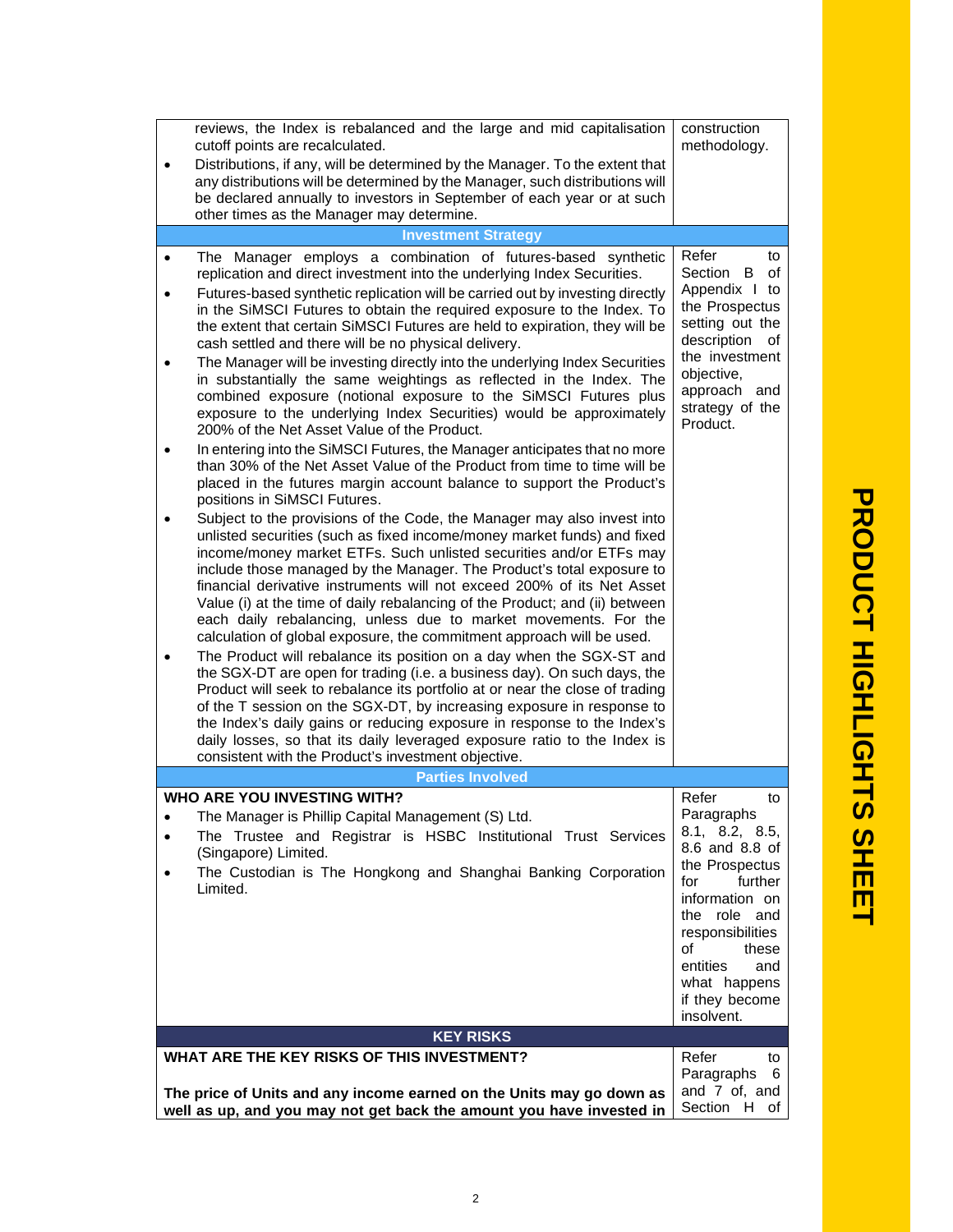|                                                                                                                                                                                            | reviews, the Index is rebalanced and the large and mid capitalisation                                                                                                                                                                                                                                                                                                                                                                                                                                                                                                                                  | construction                                                                                                                                                                                                                              |
|--------------------------------------------------------------------------------------------------------------------------------------------------------------------------------------------|--------------------------------------------------------------------------------------------------------------------------------------------------------------------------------------------------------------------------------------------------------------------------------------------------------------------------------------------------------------------------------------------------------------------------------------------------------------------------------------------------------------------------------------------------------------------------------------------------------|-------------------------------------------------------------------------------------------------------------------------------------------------------------------------------------------------------------------------------------------|
|                                                                                                                                                                                            | cutoff points are recalculated.<br>Distributions, if any, will be determined by the Manager. To the extent that<br>any distributions will be determined by the Manager, such distributions will<br>be declared annually to investors in September of each year or at such<br>other times as the Manager may determine.                                                                                                                                                                                                                                                                                 | methodology.                                                                                                                                                                                                                              |
|                                                                                                                                                                                            | <b>Investment Strategy</b>                                                                                                                                                                                                                                                                                                                                                                                                                                                                                                                                                                             |                                                                                                                                                                                                                                           |
| $\bullet$<br>$\bullet$                                                                                                                                                                     | The Manager employs a combination of futures-based synthetic<br>replication and direct investment into the underlying Index Securities.<br>Futures-based synthetic replication will be carried out by investing directly<br>in the SiMSCI Futures to obtain the required exposure to the Index. To                                                                                                                                                                                                                                                                                                     | Refer<br>to<br>Section<br>B<br>οf<br>Appendix I to<br>the Prospectus                                                                                                                                                                      |
| ٠<br>٠                                                                                                                                                                                     | the extent that certain SiMSCI Futures are held to expiration, they will be<br>cash settled and there will be no physical delivery.<br>The Manager will be investing directly into the underlying Index Securities<br>in substantially the same weightings as reflected in the Index. The<br>combined exposure (notional exposure to the SiMSCI Futures plus<br>exposure to the underlying Index Securities) would be approximately<br>200% of the Net Asset Value of the Product.<br>In entering into the SiMSCI Futures, the Manager anticipates that no more                                        | setting out the<br>description<br>οt<br>the investment<br>objective,<br>approach and<br>strategy of the<br>Product.                                                                                                                       |
|                                                                                                                                                                                            | than 30% of the Net Asset Value of the Product from time to time will be<br>placed in the futures margin account balance to support the Product's<br>positions in SiMSCI Futures.                                                                                                                                                                                                                                                                                                                                                                                                                      |                                                                                                                                                                                                                                           |
|                                                                                                                                                                                            | Subject to the provisions of the Code, the Manager may also invest into<br>unlisted securities (such as fixed income/money market funds) and fixed<br>income/money market ETFs. Such unlisted securities and/or ETFs may<br>include those managed by the Manager. The Product's total exposure to<br>financial derivative instruments will not exceed 200% of its Net Asset<br>Value (i) at the time of daily rebalancing of the Product; and (ii) between<br>each daily rebalancing, unless due to market movements. For the<br>calculation of global exposure, the commitment approach will be used. |                                                                                                                                                                                                                                           |
|                                                                                                                                                                                            | The Product will rebalance its position on a day when the SGX-ST and<br>the SGX-DT are open for trading (i.e. a business day). On such days, the<br>Product will seek to rebalance its portfolio at or near the close of trading<br>of the T session on the SGX-DT, by increasing exposure in response to<br>the Index's daily gains or reducing exposure in response to the Index's<br>daily losses, so that its daily leveraged exposure ratio to the Index is<br>consistent with the Product's investment objective.                                                                                |                                                                                                                                                                                                                                           |
|                                                                                                                                                                                            | <b>Parties Involved</b>                                                                                                                                                                                                                                                                                                                                                                                                                                                                                                                                                                                |                                                                                                                                                                                                                                           |
| $\bullet$<br>$\bullet$                                                                                                                                                                     | WHO ARE YOU INVESTING WITH?<br>The Manager is Phillip Capital Management (S) Ltd.<br>The Trustee and Registrar is HSBC Institutional Trust Services<br>(Singapore) Limited.<br>The Custodian is The Hongkong and Shanghai Banking Corporation<br>Limited.                                                                                                                                                                                                                                                                                                                                              | Refer<br>to<br>Paragraphs<br>8.1, 8.2, 8.5,<br>8.6 and 8.8 of<br>the Prospectus<br>further<br>for<br>information on<br>the role and<br>responsibilities<br>of<br>these<br>entities<br>and<br>what happens<br>if they become<br>insolvent. |
|                                                                                                                                                                                            | <b>KEY RISKS</b>                                                                                                                                                                                                                                                                                                                                                                                                                                                                                                                                                                                       |                                                                                                                                                                                                                                           |
| WHAT ARE THE KEY RISKS OF THIS INVESTMENT?<br>The price of Units and any income earned on the Units may go down as<br>well as up, and you may not get back the amount you have invested in |                                                                                                                                                                                                                                                                                                                                                                                                                                                                                                                                                                                                        | Refer<br>to<br>Paragraphs<br>6<br>and 7 of, and<br>Section H of                                                                                                                                                                           |

**T**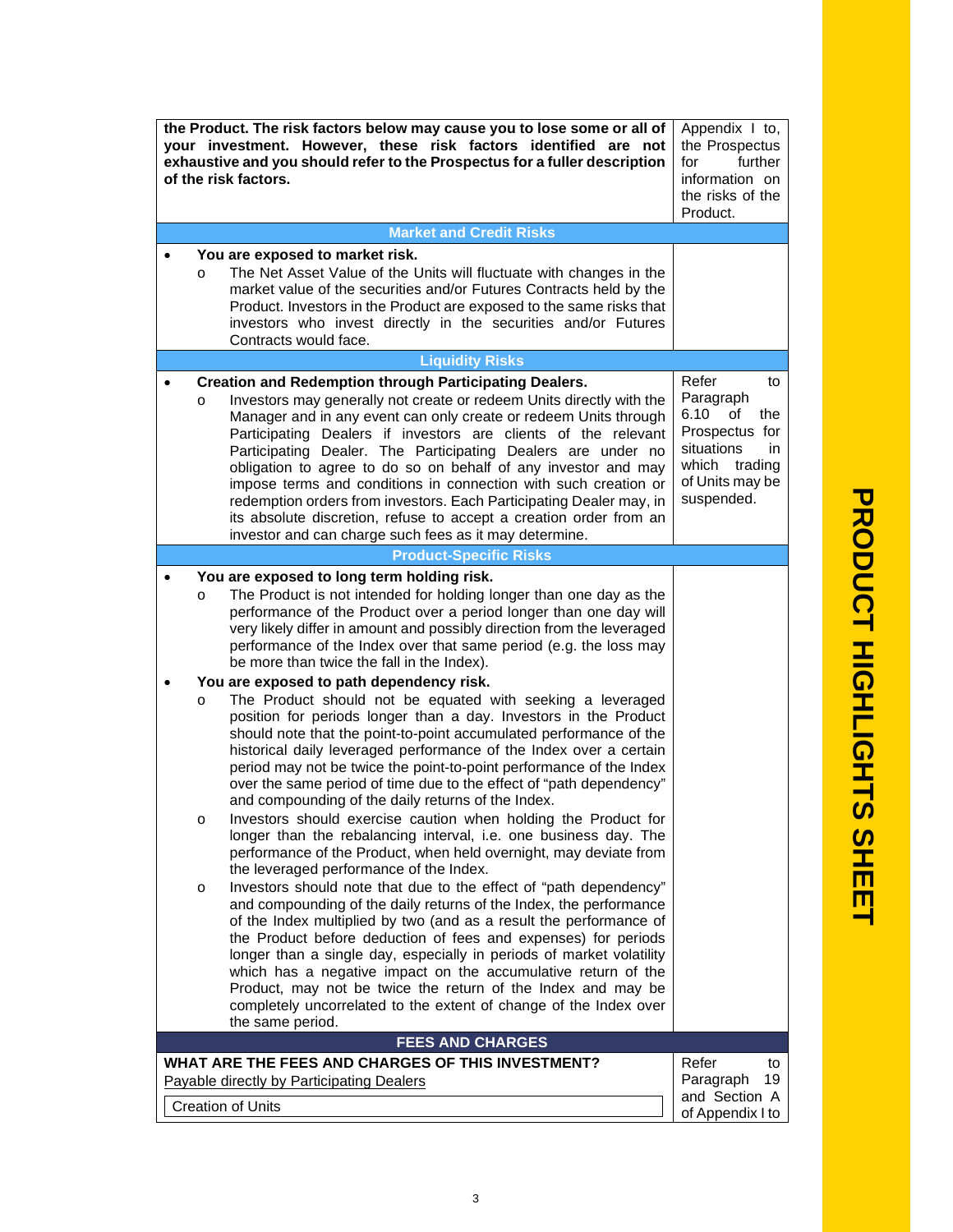| the Product. The risk factors below may cause you to lose some or all of<br>your investment. However, these risk factors identified are not<br>exhaustive and you should refer to the Prospectus for a fuller description<br>of the risk factors. |                  | Appendix I to,<br>the Prospectus<br>further<br>for<br>information on<br>the risks of the<br>Product.                                                                                                                                                                                                                                                                                                                                                                                                                                                                                                                                                                                                                                                                                                                                                                                                                                                                                                                                                                                                                                                                                                                                                                                                                                                                                                                                                                                                                                                                                                                                                                                                                                                        |                                                                                                                                       |
|---------------------------------------------------------------------------------------------------------------------------------------------------------------------------------------------------------------------------------------------------|------------------|-------------------------------------------------------------------------------------------------------------------------------------------------------------------------------------------------------------------------------------------------------------------------------------------------------------------------------------------------------------------------------------------------------------------------------------------------------------------------------------------------------------------------------------------------------------------------------------------------------------------------------------------------------------------------------------------------------------------------------------------------------------------------------------------------------------------------------------------------------------------------------------------------------------------------------------------------------------------------------------------------------------------------------------------------------------------------------------------------------------------------------------------------------------------------------------------------------------------------------------------------------------------------------------------------------------------------------------------------------------------------------------------------------------------------------------------------------------------------------------------------------------------------------------------------------------------------------------------------------------------------------------------------------------------------------------------------------------------------------------------------------------|---------------------------------------------------------------------------------------------------------------------------------------|
|                                                                                                                                                                                                                                                   |                  | <b>Market and Credit Risks</b>                                                                                                                                                                                                                                                                                                                                                                                                                                                                                                                                                                                                                                                                                                                                                                                                                                                                                                                                                                                                                                                                                                                                                                                                                                                                                                                                                                                                                                                                                                                                                                                                                                                                                                                              |                                                                                                                                       |
|                                                                                                                                                                                                                                                   |                  | You are exposed to market risk.                                                                                                                                                                                                                                                                                                                                                                                                                                                                                                                                                                                                                                                                                                                                                                                                                                                                                                                                                                                                                                                                                                                                                                                                                                                                                                                                                                                                                                                                                                                                                                                                                                                                                                                             |                                                                                                                                       |
|                                                                                                                                                                                                                                                   | O                | The Net Asset Value of the Units will fluctuate with changes in the<br>market value of the securities and/or Futures Contracts held by the<br>Product. Investors in the Product are exposed to the same risks that<br>investors who invest directly in the securities and/or Futures<br>Contracts would face.                                                                                                                                                                                                                                                                                                                                                                                                                                                                                                                                                                                                                                                                                                                                                                                                                                                                                                                                                                                                                                                                                                                                                                                                                                                                                                                                                                                                                                               |                                                                                                                                       |
|                                                                                                                                                                                                                                                   |                  | <b>Liquidity Risks</b>                                                                                                                                                                                                                                                                                                                                                                                                                                                                                                                                                                                                                                                                                                                                                                                                                                                                                                                                                                                                                                                                                                                                                                                                                                                                                                                                                                                                                                                                                                                                                                                                                                                                                                                                      |                                                                                                                                       |
|                                                                                                                                                                                                                                                   | O                | <b>Creation and Redemption through Participating Dealers.</b><br>Investors may generally not create or redeem Units directly with the<br>Manager and in any event can only create or redeem Units through<br>Participating Dealers if investors are clients of the relevant<br>Participating Dealer. The Participating Dealers are under no<br>obligation to agree to do so on behalf of any investor and may<br>impose terms and conditions in connection with such creation or<br>redemption orders from investors. Each Participating Dealer may, in<br>its absolute discretion, refuse to accept a creation order from an<br>investor and can charge such fees as it may determine.                                                                                                                                                                                                                                                                                                                                                                                                                                                                                                                                                                                                                                                                                                                                                                                                                                                                                                                                                                                                                                                                     | Refer<br>to<br>Paragraph<br>6.10<br>οf<br>the<br>Prospectus for<br>situations<br>in<br>which trading<br>of Units may be<br>suspended. |
|                                                                                                                                                                                                                                                   |                  | <b>Product-Specific Risks</b>                                                                                                                                                                                                                                                                                                                                                                                                                                                                                                                                                                                                                                                                                                                                                                                                                                                                                                                                                                                                                                                                                                                                                                                                                                                                                                                                                                                                                                                                                                                                                                                                                                                                                                                               |                                                                                                                                       |
|                                                                                                                                                                                                                                                   | O<br>O<br>O<br>O | You are exposed to long term holding risk.<br>The Product is not intended for holding longer than one day as the<br>performance of the Product over a period longer than one day will<br>very likely differ in amount and possibly direction from the leveraged<br>performance of the Index over that same period (e.g. the loss may<br>be more than twice the fall in the Index).<br>You are exposed to path dependency risk.<br>The Product should not be equated with seeking a leveraged<br>position for periods longer than a day. Investors in the Product<br>should note that the point-to-point accumulated performance of the<br>historical daily leveraged performance of the Index over a certain<br>period may not be twice the point-to-point performance of the Index<br>over the same period of time due to the effect of "path dependency"<br>and compounding of the daily returns of the Index.<br>Investors should exercise caution when holding the Product for<br>longer than the rebalancing interval, i.e. one business day. The<br>performance of the Product, when held overnight, may deviate from<br>the leveraged performance of the Index.<br>Investors should note that due to the effect of "path dependency"<br>and compounding of the daily returns of the Index, the performance<br>of the Index multiplied by two (and as a result the performance of<br>the Product before deduction of fees and expenses) for periods<br>longer than a single day, especially in periods of market volatility<br>which has a negative impact on the accumulative return of the<br>Product, may not be twice the return of the Index and may be<br>completely uncorrelated to the extent of change of the Index over<br>the same period. |                                                                                                                                       |
|                                                                                                                                                                                                                                                   |                  | <b>FEES AND CHARGES</b>                                                                                                                                                                                                                                                                                                                                                                                                                                                                                                                                                                                                                                                                                                                                                                                                                                                                                                                                                                                                                                                                                                                                                                                                                                                                                                                                                                                                                                                                                                                                                                                                                                                                                                                                     |                                                                                                                                       |
|                                                                                                                                                                                                                                                   |                  | WHAT ARE THE FEES AND CHARGES OF THIS INVESTMENT?                                                                                                                                                                                                                                                                                                                                                                                                                                                                                                                                                                                                                                                                                                                                                                                                                                                                                                                                                                                                                                                                                                                                                                                                                                                                                                                                                                                                                                                                                                                                                                                                                                                                                                           | Refer<br>to<br>Paragraph<br>19                                                                                                        |
| Payable directly by Participating Dealers<br><b>Creation of Units</b>                                                                                                                                                                             |                  | and Section A<br>of Appendix I to                                                                                                                                                                                                                                                                                                                                                                                                                                                                                                                                                                                                                                                                                                                                                                                                                                                                                                                                                                                                                                                                                                                                                                                                                                                                                                                                                                                                                                                                                                                                                                                                                                                                                                                           |                                                                                                                                       |

**T**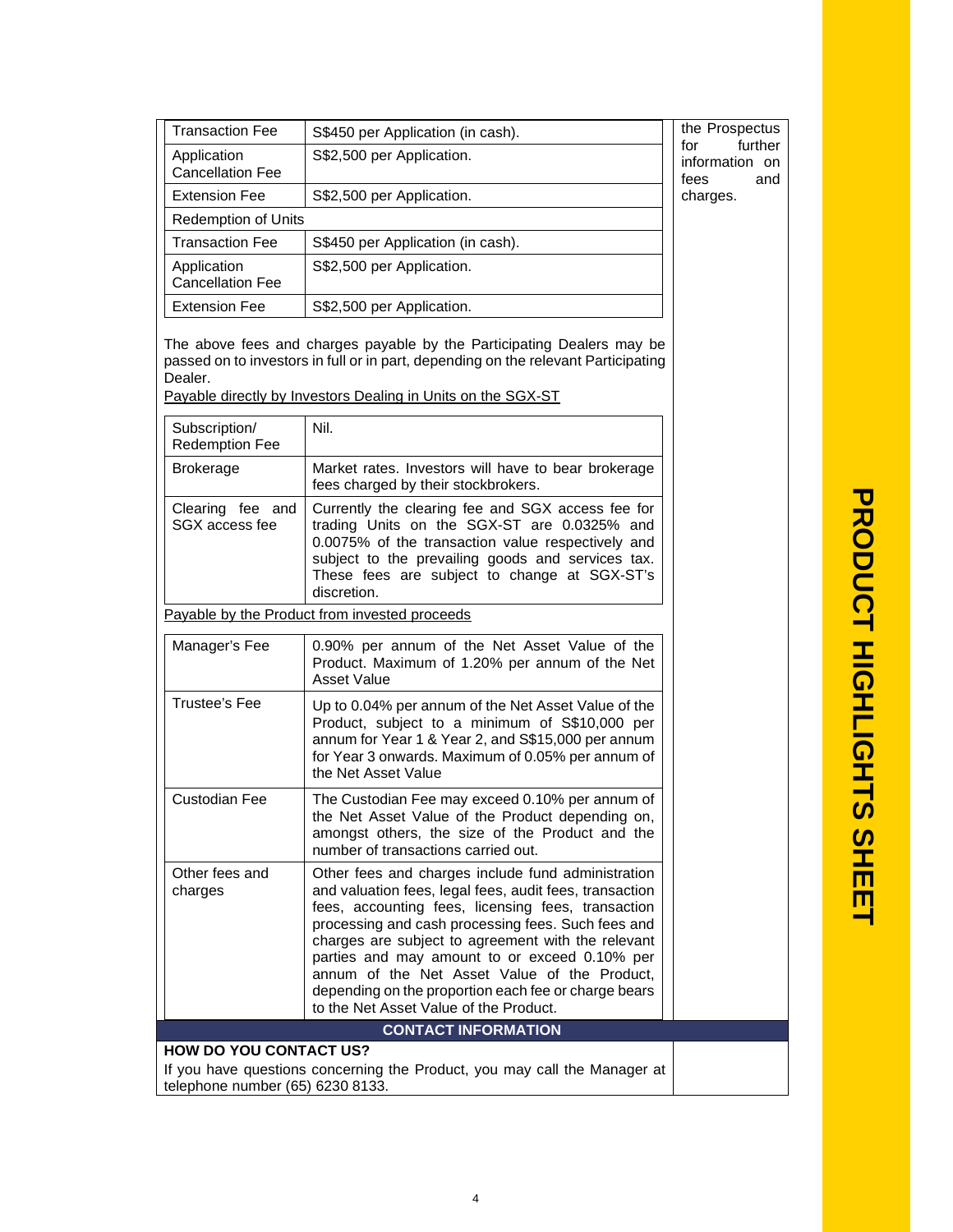| Transaction Fee                        | S\$450 per Application (in cash). | the Prospectus                                  |
|----------------------------------------|-----------------------------------|-------------------------------------------------|
| Application<br><b>Cancellation Fee</b> | S\$2,500 per Application.         | further<br>for<br>information on<br>and<br>fees |
| <b>Extension Fee</b>                   | S\$2,500 per Application.         | charges.                                        |
| <b>Redemption of Units</b>             |                                   |                                                 |
| <b>Transaction Fee</b>                 | S\$450 per Application (in cash). |                                                 |
| Application<br><b>Cancellation Fee</b> | S\$2,500 per Application.         |                                                 |
| <b>Extension Fee</b>                   | S\$2,500 per Application.         |                                                 |

The above fees and charges payable by the Participating Dealers may be passed on to investors in full or in part, depending on the relevant Participating Dealer.

Payable directly by Investors Dealing in Units on the SGX-ST

| Subscription/<br><b>Redemption Fee</b>                            | Nil.                                                                                                                                                                                                                                                                                                                                                                                                                                                                               |
|-------------------------------------------------------------------|------------------------------------------------------------------------------------------------------------------------------------------------------------------------------------------------------------------------------------------------------------------------------------------------------------------------------------------------------------------------------------------------------------------------------------------------------------------------------------|
| <b>Brokerage</b>                                                  | Market rates. Investors will have to bear brokerage<br>fees charged by their stockbrokers.                                                                                                                                                                                                                                                                                                                                                                                         |
| Clearing fee and<br>SGX access fee                                | Currently the clearing fee and SGX access fee for<br>trading Units on the SGX-ST are 0.0325% and<br>0.0075% of the transaction value respectively and<br>subject to the prevailing goods and services tax.<br>These fees are subject to change at SGX-ST's<br>discretion.                                                                                                                                                                                                          |
|                                                                   | Payable by the Product from invested proceeds                                                                                                                                                                                                                                                                                                                                                                                                                                      |
| Manager's Fee                                                     | 0.90% per annum of the Net Asset Value of the<br>Product. Maximum of 1.20% per annum of the Net<br><b>Asset Value</b>                                                                                                                                                                                                                                                                                                                                                              |
| <b>Trustee's Fee</b>                                              | Up to 0.04% per annum of the Net Asset Value of the<br>Product, subject to a minimum of S\$10,000 per<br>annum for Year 1 & Year 2, and S\$15,000 per annum<br>for Year 3 onwards. Maximum of 0.05% per annum of<br>the Net Asset Value                                                                                                                                                                                                                                            |
| <b>Custodian Fee</b>                                              | The Custodian Fee may exceed 0.10% per annum of<br>the Net Asset Value of the Product depending on,<br>amongst others, the size of the Product and the<br>number of transactions carried out.                                                                                                                                                                                                                                                                                      |
| Other fees and<br>charges                                         | Other fees and charges include fund administration<br>and valuation fees, legal fees, audit fees, transaction<br>fees, accounting fees, licensing fees, transaction<br>processing and cash processing fees. Such fees and<br>charges are subject to agreement with the relevant<br>parties and may amount to or exceed 0.10% per<br>annum of the Net Asset Value of the Product,<br>depending on the proportion each fee or charge bears<br>to the Net Asset Value of the Product. |
|                                                                   | <b>CONTACT INFORMATION</b>                                                                                                                                                                                                                                                                                                                                                                                                                                                         |
| <b>HOW DO YOU CONTACT US?</b><br>telephone number (65) 6230 8133. | If you have questions concerning the Product, you may call the Manager at                                                                                                                                                                                                                                                                                                                                                                                                          |

<u>प</u> **R O D U C T** エ<br>G **H LIG H T** <u>က</u> <u>က</u> **H E E T**